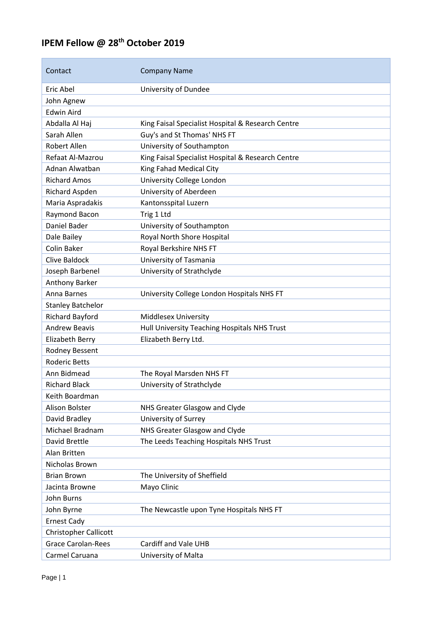## **IPEM Fellow @ 28th October 2019**

| Contact                      | <b>Company Name</b>                               |
|------------------------------|---------------------------------------------------|
| Eric Abel                    | University of Dundee                              |
| John Agnew                   |                                                   |
| <b>Edwin Aird</b>            |                                                   |
| Abdalla Al Haj               | King Faisal Specialist Hospital & Research Centre |
| Sarah Allen                  | Guy's and St Thomas' NHS FT                       |
| Robert Allen                 | University of Southampton                         |
| Refaat Al-Mazrou             | King Faisal Specialist Hospital & Research Centre |
| Adnan Alwatban               | King Fahad Medical City                           |
| <b>Richard Amos</b>          | University College London                         |
| Richard Aspden               | University of Aberdeen                            |
| Maria Aspradakis             | Kantonsspital Luzern                              |
| Raymond Bacon                | Trig 1 Ltd                                        |
| Daniel Bader                 | University of Southampton                         |
| Dale Bailey                  | Royal North Shore Hospital                        |
| Colin Baker                  | Royal Berkshire NHS FT                            |
| Clive Baldock                | University of Tasmania                            |
| Joseph Barbenel              | University of Strathclyde                         |
| <b>Anthony Barker</b>        |                                                   |
| Anna Barnes                  | University College London Hospitals NHS FT        |
| <b>Stanley Batchelor</b>     |                                                   |
| <b>Richard Bayford</b>       | <b>Middlesex University</b>                       |
| <b>Andrew Beavis</b>         | Hull University Teaching Hospitals NHS Trust      |
| Elizabeth Berry              | Elizabeth Berry Ltd.                              |
| Rodney Bessent               |                                                   |
| <b>Roderic Betts</b>         |                                                   |
| Ann Bidmead                  | The Royal Marsden NHS FT                          |
| <b>Richard Black</b>         | University of Strathclyde                         |
| Keith Boardman               |                                                   |
| Alison Bolster               | NHS Greater Glasgow and Clyde                     |
| David Bradley                | University of Surrey                              |
| Michael Bradnam              | NHS Greater Glasgow and Clyde                     |
| <b>David Brettle</b>         | The Leeds Teaching Hospitals NHS Trust            |
| Alan Britten                 |                                                   |
| Nicholas Brown               |                                                   |
| <b>Brian Brown</b>           | The University of Sheffield                       |
| Jacinta Browne               | Mayo Clinic                                       |
| <b>John Burns</b>            |                                                   |
| John Byrne                   | The Newcastle upon Tyne Hospitals NHS FT          |
| <b>Ernest Cady</b>           |                                                   |
| <b>Christopher Callicott</b> |                                                   |
| <b>Grace Carolan-Rees</b>    | Cardiff and Vale UHB                              |
| Carmel Caruana               | University of Malta                               |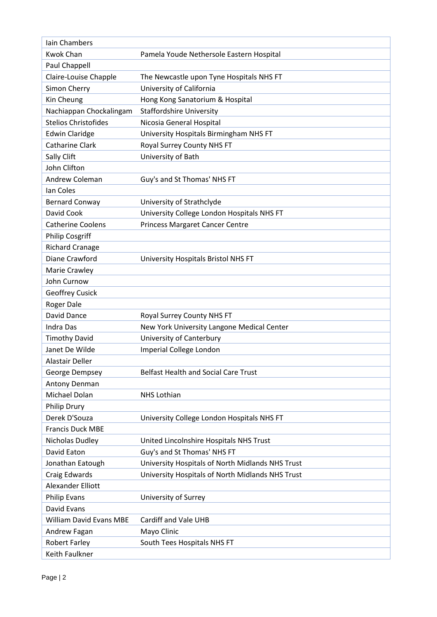| <b>Iain Chambers</b>           |                                                  |
|--------------------------------|--------------------------------------------------|
| <b>Kwok Chan</b>               | Pamela Youde Nethersole Eastern Hospital         |
| Paul Chappell                  |                                                  |
| Claire-Louise Chapple          | The Newcastle upon Tyne Hospitals NHS FT         |
| Simon Cherry                   | University of California                         |
| Kin Cheung                     | Hong Kong Sanatorium & Hospital                  |
| Nachiappan Chockalingam        | <b>Staffordshire University</b>                  |
| <b>Stelios Christofides</b>    | Nicosia General Hospital                         |
| <b>Edwin Claridge</b>          | University Hospitals Birmingham NHS FT           |
| Catharine Clark                | Royal Surrey County NHS FT                       |
| Sally Clift                    | University of Bath                               |
| John Clifton                   |                                                  |
| <b>Andrew Coleman</b>          | Guy's and St Thomas' NHS FT                      |
| Ian Coles                      |                                                  |
| <b>Bernard Conway</b>          | University of Strathclyde                        |
| David Cook                     | University College London Hospitals NHS FT       |
| <b>Catherine Coolens</b>       | <b>Princess Margaret Cancer Centre</b>           |
| <b>Philip Cosgriff</b>         |                                                  |
| <b>Richard Cranage</b>         |                                                  |
| Diane Crawford                 | University Hospitals Bristol NHS FT              |
| Marie Crawley                  |                                                  |
| John Curnow                    |                                                  |
| <b>Geoffrey Cusick</b>         |                                                  |
| Roger Dale                     |                                                  |
| David Dance                    | Royal Surrey County NHS FT                       |
| <b>Indra Das</b>               | New York University Langone Medical Center       |
| <b>Timothy David</b>           | University of Canterbury                         |
| Janet De Wilde                 | Imperial College London                          |
| <b>Alastair Deller</b>         |                                                  |
| George Dempsey                 | <b>Belfast Health and Social Care Trust</b>      |
| Antony Denman                  |                                                  |
| Michael Dolan                  | <b>NHS Lothian</b>                               |
| Philip Drury                   |                                                  |
| Derek D'Souza                  | University College London Hospitals NHS FT       |
| <b>Francis Duck MBE</b>        |                                                  |
| Nicholas Dudley                | United Lincolnshire Hospitals NHS Trust          |
| David Eaton                    | Guy's and St Thomas' NHS FT                      |
| Jonathan Eatough               | University Hospitals of North Midlands NHS Trust |
| Craig Edwards                  | University Hospitals of North Midlands NHS Trust |
| Alexander Elliott              |                                                  |
| <b>Philip Evans</b>            | University of Surrey                             |
| David Evans                    |                                                  |
| <b>William David Evans MBE</b> | Cardiff and Vale UHB                             |
| Andrew Fagan                   | Mayo Clinic                                      |
| <b>Robert Farley</b>           | South Tees Hospitals NHS FT                      |
| Keith Faulkner                 |                                                  |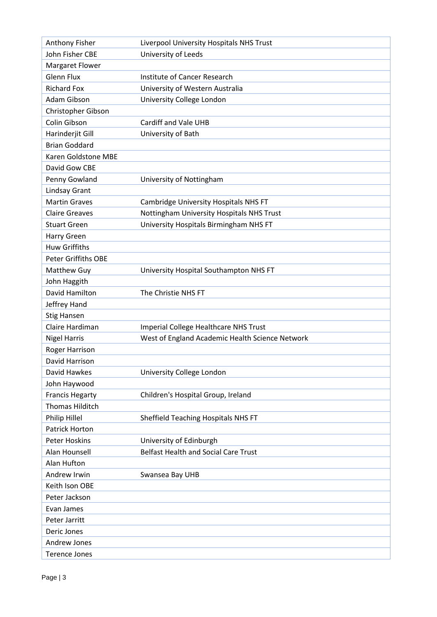| Anthony Fisher             | Liverpool University Hospitals NHS Trust        |
|----------------------------|-------------------------------------------------|
| John Fisher CBE            | University of Leeds                             |
| Margaret Flower            |                                                 |
| <b>Glenn Flux</b>          | Institute of Cancer Research                    |
| <b>Richard Fox</b>         | University of Western Australia                 |
| Adam Gibson                | University College London                       |
| Christopher Gibson         |                                                 |
| Colin Gibson               | Cardiff and Vale UHB                            |
| Harinderjit Gill           | University of Bath                              |
| <b>Brian Goddard</b>       |                                                 |
| Karen Goldstone MBE        |                                                 |
| David Gow CBE              |                                                 |
| Penny Gowland              | University of Nottingham                        |
| <b>Lindsay Grant</b>       |                                                 |
| <b>Martin Graves</b>       | Cambridge University Hospitals NHS FT           |
| <b>Claire Greaves</b>      | Nottingham University Hospitals NHS Trust       |
| <b>Stuart Green</b>        | University Hospitals Birmingham NHS FT          |
| Harry Green                |                                                 |
| <b>Huw Griffiths</b>       |                                                 |
| <b>Peter Griffiths OBE</b> |                                                 |
| Matthew Guy                | University Hospital Southampton NHS FT          |
| John Haggith               |                                                 |
| David Hamilton             | The Christie NHS FT                             |
| Jeffrey Hand               |                                                 |
| <b>Stig Hansen</b>         |                                                 |
| Claire Hardiman            | Imperial College Healthcare NHS Trust           |
| <b>Nigel Harris</b>        | West of England Academic Health Science Network |
| Roger Harrison             |                                                 |
| David Harrison             |                                                 |
| David Hawkes               | University College London                       |
| John Haywood               |                                                 |
| <b>Francis Hegarty</b>     | Children's Hospital Group, Ireland              |
| <b>Thomas Hilditch</b>     |                                                 |
| Philip Hillel              | Sheffield Teaching Hospitals NHS FT             |
| Patrick Horton             |                                                 |
| <b>Peter Hoskins</b>       | University of Edinburgh                         |
| Alan Hounsell              | <b>Belfast Health and Social Care Trust</b>     |
| Alan Hufton                |                                                 |
| Andrew Irwin               | Swansea Bay UHB                                 |
| Keith Ison OBE             |                                                 |
| Peter Jackson              |                                                 |
| Evan James                 |                                                 |
| Peter Jarritt              |                                                 |
| Deric Jones                |                                                 |
| Andrew Jones               |                                                 |
| <b>Terence Jones</b>       |                                                 |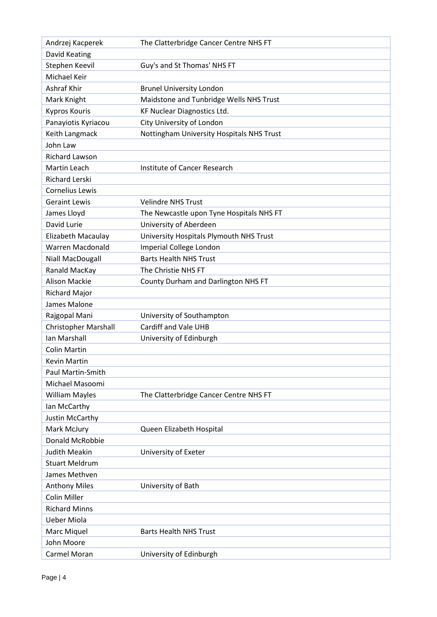| Andrzej Kacperek            | The Clatterbridge Cancer Centre NHS FT    |
|-----------------------------|-------------------------------------------|
| David Keating               |                                           |
| Stephen Keevil              | Guy's and St Thomas' NHS FT               |
| Michael Keir                |                                           |
| Ashraf Khir                 | <b>Brunel University London</b>           |
| Mark Knight                 | Maidstone and Tunbridge Wells NHS Trust   |
| <b>Kypros Kouris</b>        | <b>KF Nuclear Diagnostics Ltd.</b>        |
| Panayiotis Kyriacou         | City University of London                 |
| Keith Langmack              | Nottingham University Hospitals NHS Trust |
| John Law                    |                                           |
| Richard Lawson              |                                           |
| Martin Leach                | Institute of Cancer Research              |
| <b>Richard Lerski</b>       |                                           |
| Cornelius Lewis             |                                           |
| <b>Geraint Lewis</b>        | <b>Velindre NHS Trust</b>                 |
| James Lloyd                 | The Newcastle upon Tyne Hospitals NHS FT  |
| David Lurie                 | University of Aberdeen                    |
| Elizabeth Macaulay          | University Hospitals Plymouth NHS Trust   |
| <b>Warren Macdonald</b>     | Imperial College London                   |
| Niall MacDougall            | <b>Barts Health NHS Trust</b>             |
| Ranald MacKay               | The Christie NHS FT                       |
| <b>Alison Mackie</b>        | County Durham and Darlington NHS FT       |
| <b>Richard Major</b>        |                                           |
| James Malone                |                                           |
| Rajgopal Mani               | University of Southampton                 |
| <b>Christopher Marshall</b> | Cardiff and Vale UHB                      |
| Ian Marshall                | University of Edinburgh                   |
| <b>Colin Martin</b>         |                                           |
| <b>Kevin Martin</b>         |                                           |
| Paul Martin-Smith           |                                           |
| Michael Masoomi             |                                           |
| <b>William Mayles</b>       | The Clatterbridge Cancer Centre NHS FT    |
| Ian McCarthy                |                                           |
| Justin McCarthy             |                                           |
| Mark McJury                 | Queen Elizabeth Hospital                  |
| Donald McRobbie             |                                           |
| <b>Judith Meakin</b>        | University of Exeter                      |
| <b>Stuart Meldrum</b>       |                                           |
| James Methven               |                                           |
| <b>Anthony Miles</b>        | University of Bath                        |
| <b>Colin Miller</b>         |                                           |
| <b>Richard Minns</b>        |                                           |
| <b>Ueber Miola</b>          |                                           |
| Marc Miquel                 | <b>Barts Health NHS Trust</b>             |
|                             |                                           |
| John Moore                  |                                           |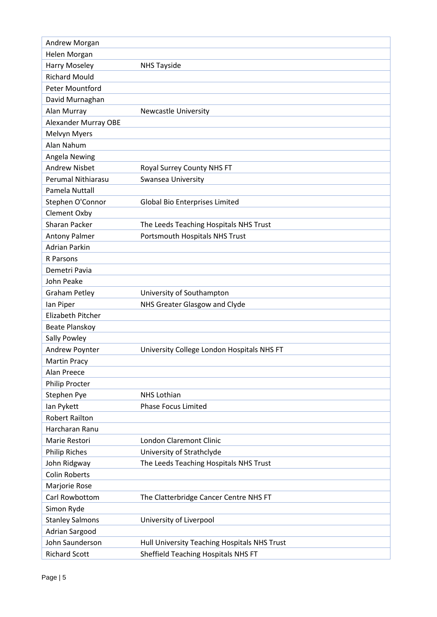| Andrew Morgan               |                                              |
|-----------------------------|----------------------------------------------|
| Helen Morgan                |                                              |
| Harry Moseley               | <b>NHS Tayside</b>                           |
| <b>Richard Mould</b>        |                                              |
| Peter Mountford             |                                              |
| David Murnaghan             |                                              |
| Alan Murray                 | <b>Newcastle University</b>                  |
| <b>Alexander Murray OBE</b> |                                              |
| Melvyn Myers                |                                              |
| Alan Nahum                  |                                              |
| Angela Newing               |                                              |
| <b>Andrew Nisbet</b>        | Royal Surrey County NHS FT                   |
| Perumal Nithiarasu          | Swansea University                           |
| Pamela Nuttall              |                                              |
| Stephen O'Connor            | Global Bio Enterprises Limited               |
| Clement Oxby                |                                              |
| <b>Sharan Packer</b>        | The Leeds Teaching Hospitals NHS Trust       |
| <b>Antony Palmer</b>        | Portsmouth Hospitals NHS Trust               |
| <b>Adrian Parkin</b>        |                                              |
| R Parsons                   |                                              |
| Demetri Pavia               |                                              |
| John Peake                  |                                              |
| <b>Graham Petley</b>        | University of Southampton                    |
| lan Piper                   | NHS Greater Glasgow and Clyde                |
| Elizabeth Pitcher           |                                              |
| <b>Beate Planskoy</b>       |                                              |
| Sally Powley                |                                              |
| Andrew Poynter              | University College London Hospitals NHS FT   |
| <b>Martin Pracy</b>         |                                              |
| Alan Preece                 |                                              |
| Philip Procter              |                                              |
| Stephen Pye                 | <b>NHS Lothian</b>                           |
| lan Pykett                  | <b>Phase Focus Limited</b>                   |
| <b>Robert Railton</b>       |                                              |
| Harcharan Ranu              |                                              |
| Marie Restori               | <b>London Claremont Clinic</b>               |
| <b>Philip Riches</b>        | University of Strathclyde                    |
| John Ridgway                | The Leeds Teaching Hospitals NHS Trust       |
| <b>Colin Roberts</b>        |                                              |
| Marjorie Rose               |                                              |
| Carl Rowbottom              | The Clatterbridge Cancer Centre NHS FT       |
| Simon Ryde                  |                                              |
| <b>Stanley Salmons</b>      | University of Liverpool                      |
| Adrian Sargood              |                                              |
| John Saunderson             | Hull University Teaching Hospitals NHS Trust |
| <b>Richard Scott</b>        | Sheffield Teaching Hospitals NHS FT          |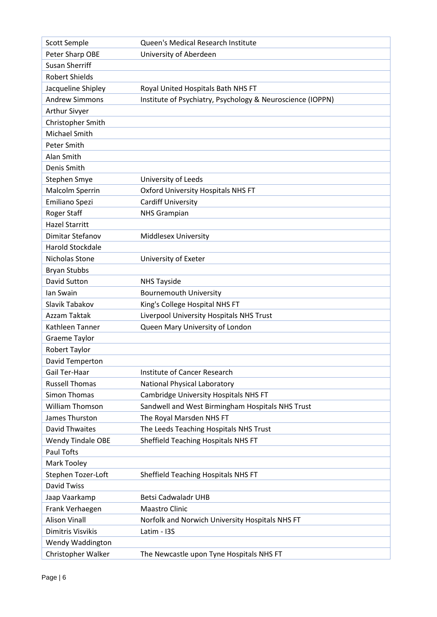| <b>Scott Semple</b>      | Queen's Medical Research Institute                         |
|--------------------------|------------------------------------------------------------|
| Peter Sharp OBE          | University of Aberdeen                                     |
| <b>Susan Sherriff</b>    |                                                            |
| <b>Robert Shields</b>    |                                                            |
| Jacqueline Shipley       | Royal United Hospitals Bath NHS FT                         |
| <b>Andrew Simmons</b>    | Institute of Psychiatry, Psychology & Neuroscience (IOPPN) |
| <b>Arthur Sivyer</b>     |                                                            |
| Christopher Smith        |                                                            |
| Michael Smith            |                                                            |
| Peter Smith              |                                                            |
| Alan Smith               |                                                            |
| Denis Smith              |                                                            |
| Stephen Smye             | University of Leeds                                        |
| Malcolm Sperrin          | <b>Oxford University Hospitals NHS FT</b>                  |
| Emiliano Spezi           | Cardiff University                                         |
| Roger Staff              | <b>NHS Grampian</b>                                        |
| <b>Hazel Starritt</b>    |                                                            |
| <b>Dimitar Stefanov</b>  | <b>Middlesex University</b>                                |
| Harold Stockdale         |                                                            |
| Nicholas Stone           | University of Exeter                                       |
| <b>Bryan Stubbs</b>      |                                                            |
| David Sutton             | <b>NHS Tayside</b>                                         |
| lan Swain                | <b>Bournemouth University</b>                              |
| Slavik Tabakov           | King's College Hospital NHS FT                             |
| Azzam Taktak             | Liverpool University Hospitals NHS Trust                   |
| Kathleen Tanner          | Queen Mary University of London                            |
| Graeme Taylor            |                                                            |
| <b>Robert Taylor</b>     |                                                            |
| David Temperton          |                                                            |
| Gail Ter-Haar            | Institute of Cancer Research                               |
| <b>Russell Thomas</b>    | <b>National Physical Laboratory</b>                        |
| <b>Simon Thomas</b>      | Cambridge University Hospitals NHS FT                      |
| <b>William Thomson</b>   | Sandwell and West Birmingham Hospitals NHS Trust           |
| James Thurston           | The Royal Marsden NHS FT                                   |
| <b>David Thwaites</b>    | The Leeds Teaching Hospitals NHS Trust                     |
| <b>Wendy Tindale OBE</b> | Sheffield Teaching Hospitals NHS FT                        |
| <b>Paul Tofts</b>        |                                                            |
| Mark Tooley              |                                                            |
| Stephen Tozer-Loft       | Sheffield Teaching Hospitals NHS FT                        |
| <b>David Twiss</b>       |                                                            |
| Jaap Vaarkamp            | <b>Betsi Cadwaladr UHB</b>                                 |
| Frank Verhaegen          | <b>Maastro Clinic</b>                                      |
| <b>Alison Vinall</b>     | Norfolk and Norwich University Hospitals NHS FT            |
| Dimitris Visvikis        | Latim - I3S                                                |
| Wendy Waddington         |                                                            |
| Christopher Walker       | The Newcastle upon Tyne Hospitals NHS FT                   |